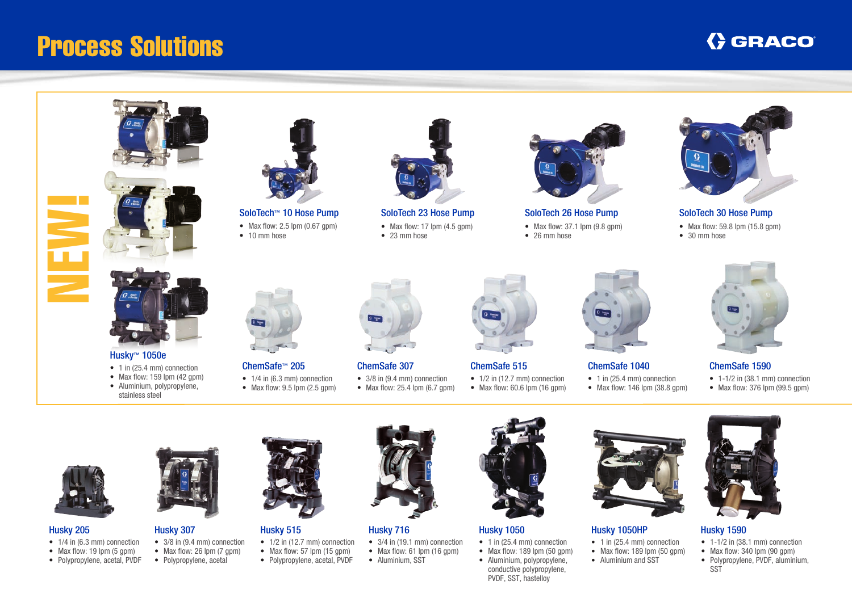# Process Solutions

## **GRACO**





- 
- Max flow:  $2.5$  lpm  $(0.67$  gpm)
- 10 mm hose



SoloTech 23 Hose Pump SoloTech 26 Hose Pump SoloTech 30 Hose Pump • Max flow: 17  $\mu$ m (4.5 gpm)

• 23 mm hose



• Max flow:  $37.1$  lpm  $(9.8$  gpm)

• 26 mm hose



• Max flow: 59.8 lpm (15.8 gpm)





Husky™ 1050e

- 1 in (25.4 mm) connection
- Max flow:  $159$  lpm (42 gpm)
- Aluminium, polypropylene, stainless steel





- 1/4 in (6.3 mm) connection • Max flow:  $9.5$  lpm (2.5 gpm)
	-

Husky 515

• Polypropylene, acetal, PVDF



ChemSafe 307

- 3/8 in (9.4 mm) connection
- Max flow:  $25.4$  lpm  $(6.7$  gpm)



• 1/2 in (12.7 mm) connection • Max flow:  $60.6$  lpm  $(16 \text{ qpm})$ 



### ChemSafe 1040

- 1 in (25.4 mm) connection
- Max flow:  $146$  lpm  $(38.8 \text{ qpm})$





#### Husky 205

 $\mathbf{E}$ 

- 1/4 in (6.3 mm) connection
- Max flow:  $19 \text{ lpm}$  (5 gpm)
- Polypropylene, acetal, PVDF



Husky 307

- 3/8 in (9.4 mm) connection • Max flow:  $26 \text{ lpm}$  (7 gpm)
- 
- Polypropylene, acetal

Husky 716

- 3/4 in (19.1 mm) connection • 1/2 in (12.7 mm) connection • Max flow: 57  $\text{lm}$  (15 gpm)
	- Max flow:  $61$  lpm  $(16$  gpm)
	- Aluminium, SST



#### Husky 1050

conductive polypropylene, PVDF, SST, hastelloy

- 1 in (25.4 mm) connection
- Max flow:  $189$  lpm  $(50 \text{ mm})$ • Aluminium, polypropylene,



#### Husky 1050HP

- 1 in (25.4 mm) connection
- Max flow:  $189$  lpm  $(50 \text{ mm})$
- Aluminium and SST





- Husky 1590
- 1-1/2 in (38.1 mm) connection
	- Max flow:  $340 \text{ lpm}$  (90 gpm)
	- Polypropylene, PVDF, aluminium, SST